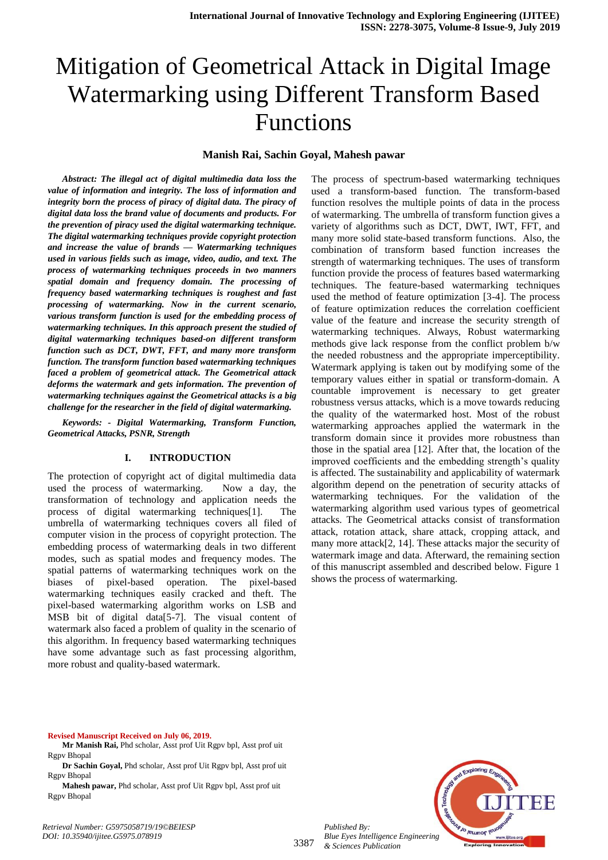# Mitigation of Geometrical Attack in Digital Image Watermarking using Different Transform Based Functions

#### **Manish Rai, Sachin Goyal, Mahesh pawar**

*Abstract: The illegal act of digital multimedia data loss the value of information and integrity. The loss of information and integrity born the process of piracy of digital data. The piracy of digital data loss the brand value of documents and products. For the prevention of piracy used the digital watermarking technique. The digital watermarking techniques provide copyright protection and increase the value of brands — Watermarking techniques used in various fields such as image, video, audio, and text. The process of watermarking techniques proceeds in two manners spatial domain and frequency domain. The processing of frequency based watermarking techniques is roughest and fast processing of watermarking. Now in the current scenario, various transform function is used for the embedding process of watermarking techniques. In this approach present the studied of digital watermarking techniques based-on different transform function such as DCT, DWT, FFT, and many more transform function. The transform function based watermarking techniques faced a problem of geometrical attack. The Geometrical attack deforms the watermark and gets information. The prevention of watermarking techniques against the Geometrical attacks is a big challenge for the researcher in the field of digital watermarking.*

*Keywords: - Digital Watermarking, Transform Function, Geometrical Attacks, PSNR, Strength*

#### **I. INTRODUCTION**

The protection of copyright act of digital multimedia data used the process of watermarking. Now a day, the transformation of technology and application needs the process of digital watermarking techniques[1]. The umbrella of watermarking techniques covers all filed of computer vision in the process of copyright protection. The embedding process of watermarking deals in two different modes, such as spatial modes and frequency modes. The spatial patterns of watermarking techniques work on the biases of pixel-based operation. The pixel-based watermarking techniques easily cracked and theft. The pixel-based watermarking algorithm works on LSB and MSB bit of digital data[5-7]. The visual content of watermark also faced a problem of quality in the scenario of this algorithm. In frequency based watermarking techniques have some advantage such as fast processing algorithm, more robust and quality-based watermark.

The process of spectrum-based watermarking techniques used a transform-based function. The transform-based function resolves the multiple points of data in the process of watermarking. The umbrella of transform function gives a variety of algorithms such as DCT, DWT, IWT, FFT, and many more solid state-based transform functions. Also, the combination of transform based function increases the strength of watermarking techniques. The uses of transform function provide the process of features based watermarking techniques. The feature-based watermarking techniques used the method of feature optimization [3-4]. The process of feature optimization reduces the correlation coefficient value of the feature and increase the security strength of watermarking techniques. Always, Robust watermarking methods give lack response from the conflict problem b/w the needed robustness and the appropriate imperceptibility. Watermark applying is taken out by modifying some of the temporary values either in spatial or transform-domain. A countable improvement is necessary to get greater robustness versus attacks, which is a move towards reducing the quality of the watermarked host. Most of the robust watermarking approaches applied the watermark in the transform domain since it provides more robustness than those in the spatial area [12]. After that, the location of the improved coefficients and the embedding strength's quality is affected. The sustainability and applicability of watermark algorithm depend on the penetration of security attacks of watermarking techniques. For the validation of the watermarking algorithm used various types of geometrical attacks. The Geometrical attacks consist of transformation attack, rotation attack, share attack, cropping attack, and many more attack[2, 14]. These attacks major the security of watermark image and data. Afterward, the remaining section of this manuscript assembled and described below. Figure 1 shows the process of watermarking.

**Revised Manuscript Received on July 06, 2019.**

- **Mr Manish Rai,** Phd scholar, Asst prof Uit Rgpv bpl, Asst prof uit Rgpv Bhopal
- **Dr Sachin Goyal,** Phd scholar, Asst prof Uit Rgpv bpl, Asst prof uit Rgpv Bhopal

**Mahesh pawar,** Phd scholar, Asst prof Uit Rgpv bpl, Asst prof uit Rgpv Bhopal

*Retrieval Number: G5975058719/19©BEIESP DOI: 10.35940/ijitee.G5975.078919*



*Blue Eyes Intelligence Engineering & Sciences Publication* 

*Published By:*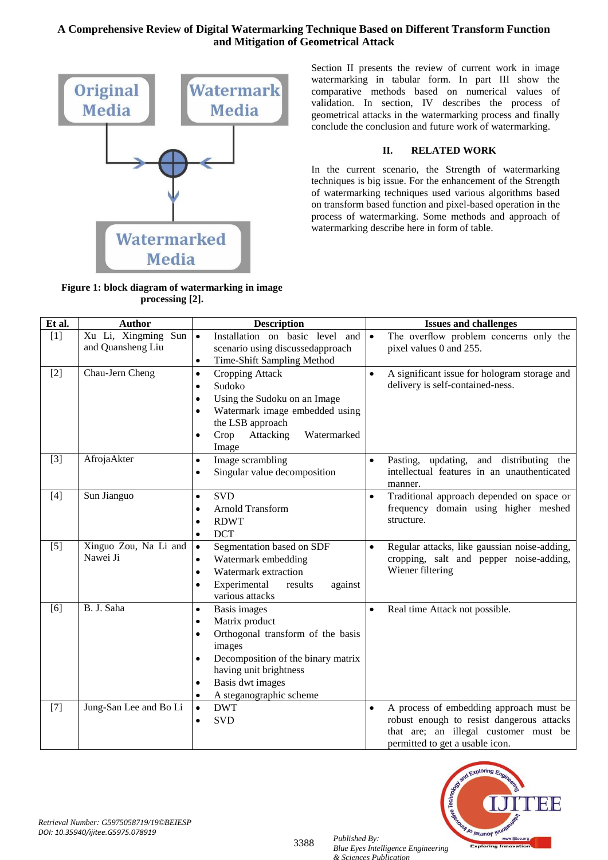

**Figure 1: block diagram of watermarking in image processing [2].**

Section II presents the review of current work in image watermarking in tabular form. In part III show the comparative methods based on numerical values of validation. In section, IV describes the process of geometrical attacks in the watermarking process and finally conclude the conclusion and future work of watermarking.

#### **II. RELATED WORK**

In the current scenario, the Strength of watermarking techniques is big issue. For the enhancement of the Strength of watermarking techniques used various algorithms based on transform based function and pixel-based operation in the process of watermarking. Some methods and approach of watermarking describe here in form of table.

| Et al. | <b>Author</b>                            | <b>Description</b>                                                                                                                                                                                                                            |           | <b>Issues and challenges</b>                                                                                                                                     |  |  |
|--------|------------------------------------------|-----------------------------------------------------------------------------------------------------------------------------------------------------------------------------------------------------------------------------------------------|-----------|------------------------------------------------------------------------------------------------------------------------------------------------------------------|--|--|
| [1]    | Xu Li, Xingming Sun<br>and Quansheng Liu | Installation on basic level<br>$\bullet$<br>and<br>scenario using discussedapproach<br>Time-Shift Sampling Method<br>$\bullet$                                                                                                                | $\bullet$ | The overflow problem concerns only the<br>pixel values 0 and 255.                                                                                                |  |  |
| $[2]$  | Chau-Jern Cheng                          | Cropping Attack<br>$\bullet$<br>Sudoko<br>$\bullet$<br>Using the Sudoku on an Image<br>$\bullet$<br>Watermark image embedded using<br>the LSB approach<br>Crop<br>Attacking<br>Watermarked<br>Image                                           | $\bullet$ | A significant issue for hologram storage and<br>delivery is self-contained-ness.                                                                                 |  |  |
| $[3]$  | AfrojaAkter                              | Image scrambling<br>$\bullet$<br>Singular value decomposition<br>٠                                                                                                                                                                            | $\bullet$ | and distributing the<br>Pasting, updating,<br>intellectual features in an unauthenticated<br>manner.                                                             |  |  |
| [4]    | Sun Jianguo                              | <b>SVD</b><br>$\bullet$<br>$\bullet$<br><b>Arnold Transform</b><br><b>RDWT</b><br><b>DCT</b><br>٠                                                                                                                                             |           | Traditional approach depended on space or<br>frequency domain using higher meshed<br>structure.                                                                  |  |  |
| $[5]$  | Xinguo Zou, Na Li and<br>Nawei Ji        | Segmentation based on SDF<br>$\bullet$<br>Watermark embedding<br>$\bullet$<br>Watermark extraction<br>Experimental<br>results<br>against<br>various attacks                                                                                   | $\bullet$ | Regular attacks, like gaussian noise-adding,<br>cropping, salt and pepper noise-adding,<br>Wiener filtering                                                      |  |  |
| [6]    | B. J. Saha                               | Basis images<br>$\bullet$<br>$\bullet$<br>Matrix product<br>٠<br>Orthogonal transform of the basis<br>images<br>Decomposition of the binary matrix<br>having unit brightness<br>Basis dwt images<br>٠<br>A steganographic scheme<br>$\bullet$ |           | Real time Attack not possible.                                                                                                                                   |  |  |
| $[7]$  | Jung-San Lee and Bo Li                   | <b>DWT</b><br>$\bullet$<br><b>SVD</b><br>$\bullet$                                                                                                                                                                                            | $\bullet$ | A process of embedding approach must be<br>robust enough to resist dangerous attacks<br>that are; an illegal customer must be<br>permitted to get a usable icon. |  |  |



*Retrieval Number: G5975058719/19©BEIESP DOI: 10.35940/ijitee.G5975.078919*

3388 *Published By: Blue Eyes Intelligence Engineering & Sciences Publication*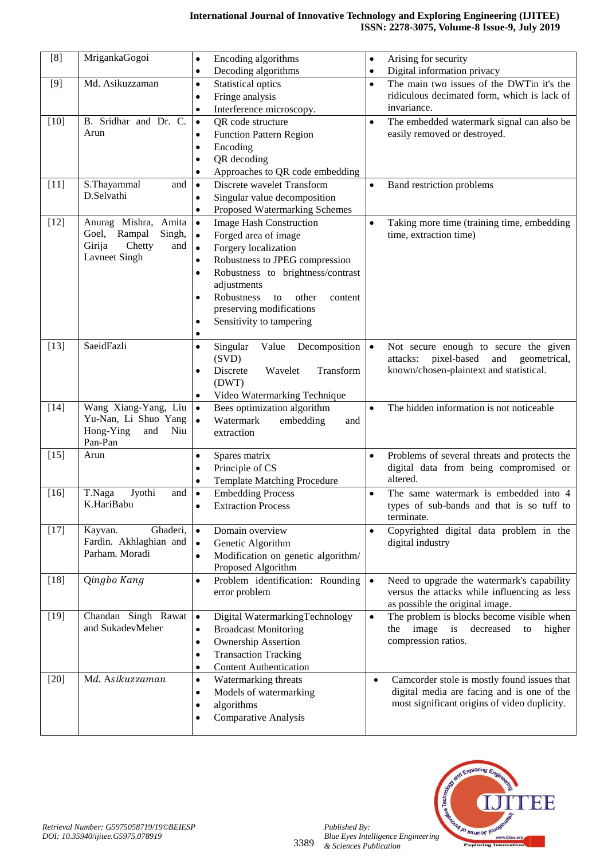| [8]    | MrigankaGogoi                                      | Encoding algorithms<br>$\bullet$                                   | $\bullet$ | Arising for security                                                                       |
|--------|----------------------------------------------------|--------------------------------------------------------------------|-----------|--------------------------------------------------------------------------------------------|
|        |                                                    | Decoding algorithms<br>$\bullet$                                   | $\bullet$ | Digital information privacy                                                                |
| $[9]$  | Md. Asikuzzaman<br>Statistical optics<br>$\bullet$ |                                                                    | $\bullet$ | The main two issues of the DWTin it's the                                                  |
|        | Fringe analysis<br>$\bullet$                       |                                                                    |           | ridiculous decimated form, which is lack of                                                |
|        |                                                    | Interference microscopy.<br>$\bullet$                              |           | invariance.                                                                                |
| $[10]$ | B. Sridhar and Dr. C.                              | QR code structure<br>$\bullet$                                     | $\bullet$ | The embedded watermark signal can also be                                                  |
|        | Arun                                               | <b>Function Pattern Region</b><br>$\bullet$                        |           | easily removed or destroyed.                                                               |
|        |                                                    | Encoding<br>$\bullet$                                              |           |                                                                                            |
|        |                                                    | QR decoding<br>$\bullet$                                           |           |                                                                                            |
|        |                                                    | Approaches to QR code embedding<br>$\bullet$                       |           |                                                                                            |
| $[11]$ | S.Thayammal<br>and                                 | Discrete wavelet Transform<br>$\bullet$                            | $\bullet$ | Band restriction problems                                                                  |
|        | D.Selvathi                                         | Singular value decomposition<br>$\bullet$                          |           |                                                                                            |
|        |                                                    | Proposed Watermarking Schemes<br>$\bullet$                         |           |                                                                                            |
| $[12]$ | Anurag Mishra, Amita                               | <b>Image Hash Construction</b><br>$\bullet$                        | $\bullet$ | Taking more time (training time, embedding                                                 |
|        | Goel,<br>Rampal<br>Singh,                          | Forged area of image<br>$\bullet$                                  |           | time, extraction time)                                                                     |
|        | Girija<br>Chetty<br>and                            | Forgery localization<br>$\bullet$                                  |           |                                                                                            |
|        | Lavneet Singh                                      | Robustness to JPEG compression<br>$\bullet$                        |           |                                                                                            |
|        |                                                    | Robustness to brightness/contrast<br>$\bullet$                     |           |                                                                                            |
|        |                                                    | adjustments                                                        |           |                                                                                            |
|        |                                                    | Robustness<br>to<br>other<br>content<br>$\bullet$                  |           |                                                                                            |
|        |                                                    | preserving modifications                                           |           |                                                                                            |
|        |                                                    | Sensitivity to tampering<br>$\bullet$                              |           |                                                                                            |
|        | SaeidFazli                                         | $\bullet$                                                          |           |                                                                                            |
| $[13]$ |                                                    | Value<br>Singular<br>Decomposition $\bullet$<br>$\bullet$<br>(SVD) |           | Not secure enough to secure the given<br>pixel-based<br>and<br>attacks:                    |
|        |                                                    | Wavelet<br>Transform<br>Discrete<br>$\bullet$                      |           | geometrical,<br>known/chosen-plaintext and statistical.                                    |
|        |                                                    | (DWT)                                                              |           |                                                                                            |
|        |                                                    | Video Watermarking Technique<br>$\bullet$                          |           |                                                                                            |
| $[14]$ | Wang Xiang-Yang, Liu                               | Bees optimization algorithm<br>$\bullet$                           | $\bullet$ | The hidden information is not noticeable                                                   |
|        | Yu-Nan, Li Shuo Yang                               | $\bullet$<br>Watermark<br>embedding<br>and                         |           |                                                                                            |
|        | Hong-Ying<br>and<br>Niu                            | extraction                                                         |           |                                                                                            |
|        | Pan-Pan                                            |                                                                    |           |                                                                                            |
| $[15]$ | Arun                                               | Spares matrix<br>$\bullet$                                         | $\bullet$ | Problems of several threats and protects the                                               |
|        |                                                    | Principle of CS<br>$\bullet$                                       |           | digital data from being compromised or                                                     |
|        |                                                    | <b>Template Matching Procedure</b><br>$\bullet$                    |           | altered.                                                                                   |
| $[16]$ | T.Naga<br>Jyothi<br>and                            | <b>Embedding Process</b><br>$\bullet$                              | $\bullet$ | The same watermark is embedded into 4                                                      |
|        | K.HariBabu                                         | <b>Extraction Process</b><br>$\bullet$                             |           | types of sub-bands and that is so tuff to                                                  |
|        |                                                    |                                                                    |           | terminate.                                                                                 |
| $[17]$ | Kayvan.<br>Ghaderi,                                | Domain overview<br>$\bullet$                                       | $\bullet$ | Copyrighted digital data problem in the                                                    |
|        | Fardin. Akhlaghian and<br>Parham. Moradi           | Genetic Algorithm<br>$\bullet$                                     |           | digital industry                                                                           |
|        |                                                    | Modification on genetic algorithm/<br>$\bullet$                    |           |                                                                                            |
| $[18]$ | Qingbo Kang                                        | Proposed Algorithm                                                 |           |                                                                                            |
|        |                                                    | Problem identification: Rounding<br>$\bullet$<br>error problem     | $\bullet$ | Need to upgrade the watermark's capability<br>versus the attacks while influencing as less |
|        |                                                    |                                                                    |           | as possible the original image.                                                            |
| $[19]$ | Chandan Singh Rawat                                | Digital WatermarkingTechnology<br>$\bullet$                        | $\bullet$ | The problem is blocks become visible when                                                  |
|        | and SukadevMeher                                   | <b>Broadcast Monitoring</b><br>$\bullet$                           |           | the image is decreased<br>to<br>higher                                                     |
|        |                                                    | <b>Ownership Assertion</b><br>$\bullet$                            |           | compression ratios.                                                                        |
|        |                                                    | <b>Transaction Tracking</b><br>٠                                   |           |                                                                                            |
|        |                                                    | <b>Content Authentication</b><br>$\bullet$                         |           |                                                                                            |
| $[20]$ | Md. Asikuzzaman                                    | Watermarking threats<br>$\bullet$                                  | $\bullet$ | Camcorder stole is mostly found issues that                                                |
|        |                                                    | Models of watermarking<br>٠                                        |           | digital media are facing and is one of the                                                 |
|        |                                                    | algorithms<br>٠                                                    |           | most significant origins of video duplicity.                                               |
|        |                                                    | <b>Comparative Analysis</b>                                        |           |                                                                                            |
|        |                                                    |                                                                    |           |                                                                                            |



*Published By:*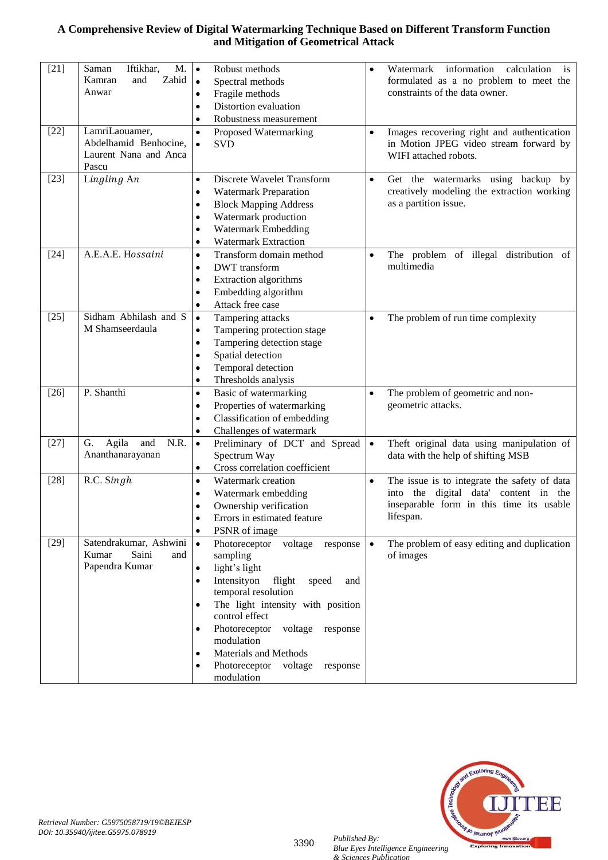| $[21]$ | Iftikhar,<br>M.<br>Saman<br>Zahid<br>Kamran<br>and<br>Anwar               | Robust methods<br>$\bullet$<br>$\bullet$<br>Spectral methods<br>Fragile methods<br>$\bullet$<br>Distortion evaluation<br>$\bullet$<br>Robustness measurement<br>$\bullet$                                                                                                                                                                       |           | information<br>Watermark<br>calculation<br><i>is</i><br>formulated as a no problem to meet the<br>constraints of the data owner.               |
|--------|---------------------------------------------------------------------------|-------------------------------------------------------------------------------------------------------------------------------------------------------------------------------------------------------------------------------------------------------------------------------------------------------------------------------------------------|-----------|------------------------------------------------------------------------------------------------------------------------------------------------|
| $[22]$ | LamriLaouamer,<br>Abdelhamid Benhocine,<br>Laurent Nana and Anca<br>Pascu | Proposed Watermarking<br>$\bullet$<br>$\bullet$<br><b>SVD</b><br>$\bullet$                                                                                                                                                                                                                                                                      |           | Images recovering right and authentication<br>in Motion JPEG video stream forward by<br>WIFI attached robots.                                  |
| $[23]$ | Lingling An                                                               | Discrete Wavelet Transform<br>$\bullet$<br>$\bullet$<br><b>Watermark Preparation</b><br>٠<br><b>Block Mapping Address</b><br>٠<br>Watermark production<br>٠<br>Watermark Embedding<br>٠<br><b>Watermark Extraction</b><br>٠                                                                                                                     |           | Get the watermarks using backup by<br>creatively modeling the extraction working<br>as a partition issue.                                      |
| $[24]$ | A.E.A.E. Hossaini                                                         | Transform domain method<br>$\bullet$<br><b>DWT</b> transform<br>٠<br>Extraction algorithms<br>٠<br>Embedding algorithm<br>$\bullet$<br>Attack free case<br>$\bullet$                                                                                                                                                                            |           | The problem of illegal distribution of<br>multimedia                                                                                           |
| $[25]$ | Sidham Abhilash and S<br>M Shamseerdaula                                  | Tampering attacks<br>$\bullet$<br>Tampering protection stage<br>$\bullet$<br>Tampering detection stage<br>$\bullet$<br>Spatial detection<br>$\bullet$<br>Temporal detection<br>٠                                                                                                                                                                |           | The problem of run time complexity                                                                                                             |
| $[26]$ | P. Shanthi                                                                | Thresholds analysis<br>$\bullet$<br>Basic of watermarking<br>$\bullet$<br>Properties of watermarking<br>٠<br>Classification of embedding<br>$\bullet$<br>Challenges of watermark<br>٠                                                                                                                                                           |           | The problem of geometric and non-<br>geometric attacks.                                                                                        |
| $[27]$ | G.<br>Agila<br>N.R.<br>and<br>Ananthanarayanan                            | $\bullet$<br>Preliminary of DCT and Spread<br>Spectrum Way<br>Cross correlation coefficient<br>٠                                                                                                                                                                                                                                                | $\bullet$ | Theft original data using manipulation of<br>data with the help of shifting MSB                                                                |
| $[28]$ | R.C. Singh                                                                | Watermark creation<br>$\bullet$<br>Watermark embedding<br>Ownership verification<br>Errors in estimated feature<br>PSNR of image<br>$\bullet$                                                                                                                                                                                                   |           | The issue is to integrate the safety of data<br>into the digital data' content in the<br>inseparable form in this time its usable<br>lifespan. |
| $[29]$ | Satendrakumar, Ashwini<br>Saini<br>Kumar<br>and<br>Papendra Kumar         | Photoreceptor<br>voltage<br>$\bullet$<br>response<br>sampling<br>light's light<br>٠<br>Intensityon<br>flight<br>speed<br>and<br>temporal resolution<br>The light intensity with position<br>control effect<br>Photoreceptor<br>voltage<br>response<br>modulation<br>Materials and Methods<br>Photoreceptor<br>voltage<br>response<br>modulation | $\bullet$ | The problem of easy editing and duplication<br>of images                                                                                       |



*Retrieval Number: G5975058719/19©BEIESP DOI: 10.35940/ijitee.G5975.078919*

3390 *Published By:*

*Blue Eyes Intelligence Engineering & Sciences Publication*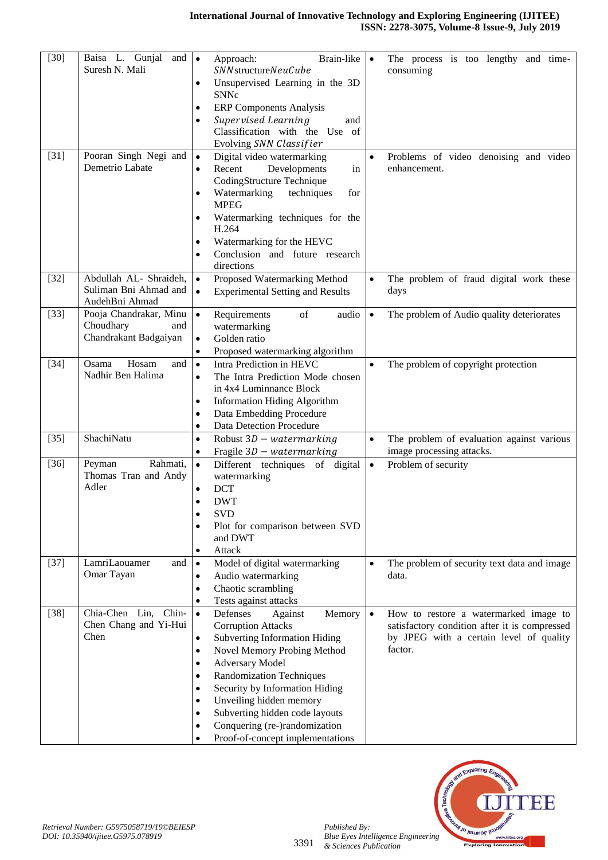| $[30]$ | Baisa L. Gunjal and<br>Suresh N. Mali                               | Brain-like<br>Approach:<br>$\bullet$<br>$\bullet$<br>SNN structureNeuCube<br>Unsupervised Learning in the 3D<br>$\bullet$<br><b>SNNc</b><br><b>ERP Components Analysis</b><br>$\bullet$<br>Supervised Learning<br>and<br>$\bullet$<br>Classification with the Use of<br>Evolving SNN Classifier                                                                                                                                                                                 | The process is too lengthy and time-<br>consuming                                                                                            |
|--------|---------------------------------------------------------------------|---------------------------------------------------------------------------------------------------------------------------------------------------------------------------------------------------------------------------------------------------------------------------------------------------------------------------------------------------------------------------------------------------------------------------------------------------------------------------------|----------------------------------------------------------------------------------------------------------------------------------------------|
| $[31]$ | Pooran Singh Negi and<br>Demetrio Labate                            | Digital video watermarking<br>$\bullet$<br>$\bullet$<br>Recent<br>Developments<br>in<br>$\bullet$<br>CodingStructure Technique<br>Watermarking<br>techniques<br>for<br>$\bullet$<br><b>MPEG</b><br>Watermarking techniques for the<br>$\bullet$<br>H.264<br>Watermarking for the HEVC<br>$\bullet$<br>Conclusion and future research<br>$\bullet$<br>directions                                                                                                                 | Problems of video denoising and video<br>enhancement.                                                                                        |
| $[32]$ | Abdullah AL- Shraideh,<br>Suliman Bni Ahmad and<br>AudehBni Ahmad   | Proposed Watermarking Method<br>$\bullet$<br>$\bullet$<br><b>Experimental Setting and Results</b><br>$\bullet$                                                                                                                                                                                                                                                                                                                                                                  | The problem of fraud digital work these<br>days                                                                                              |
| $[33]$ | Pooja Chandrakar, Minu<br>Choudhary<br>and<br>Chandrakant Badgaiyan | $\bullet$<br>of<br>audio<br>Requirements<br>$\bullet$<br>watermarking<br>Golden ratio<br>$\bullet$<br>Proposed watermarking algorithm<br>$\bullet$                                                                                                                                                                                                                                                                                                                              | The problem of Audio quality deteriorates                                                                                                    |
| $[34]$ | Hosam<br>Osama<br>and<br>Nadhir Ben Halima                          | Intra Prediction in HEVC<br>$\bullet$<br>$\bullet$<br>The Intra Prediction Mode chosen<br>$\bullet$<br>in 4x4 Luminnance Block<br><b>Information Hiding Algorithm</b><br>$\bullet$<br>Data Embedding Procedure<br>$\bullet$<br><b>Data Detection Procedure</b><br>$\bullet$                                                                                                                                                                                                     | The problem of copyright protection                                                                                                          |
| $[35]$ | ShachiNatu                                                          | Robust $3D - water marking$<br>$\bullet$<br>$\bullet$<br>Fragile $3D$ – watermarking<br>$\bullet$                                                                                                                                                                                                                                                                                                                                                                               | The problem of evaluation against various<br>image processing attacks.                                                                       |
| $[36]$ | Rahmati,<br>Peyman<br>Thomas Tran and Andy<br>Adler                 | $\bullet$<br>Different techniques of digital<br>$\bullet$<br>watermarking<br><b>DCT</b><br>$\bullet$<br><b>DWT</b><br>٠<br><b>SVD</b><br>Plot for comparison between SVD<br>and DWT<br>Attack                                                                                                                                                                                                                                                                                   | Problem of security                                                                                                                          |
| $[37]$ | LamriLaouamer<br>and<br>Omar Tayan                                  | Model of digital watermarking<br>$\bullet$<br>$\bullet$<br>Audio watermarking<br>$\bullet$<br>Chaotic scrambling<br>٠<br>Tests against attacks<br>٠                                                                                                                                                                                                                                                                                                                             | The problem of security text data and image<br>data.                                                                                         |
| $[38]$ | Chia-Chen Lin,<br>Chin-<br>Chen Chang and Yi-Hui<br>Chen            | Defenses<br>$\bullet$<br>Against<br>Memory<br>$\bullet$<br><b>Corruption Attacks</b><br><b>Subverting Information Hiding</b><br>$\bullet$<br>Novel Memory Probing Method<br>$\bullet$<br><b>Adversary Model</b><br>$\bullet$<br><b>Randomization Techniques</b><br>$\bullet$<br>Security by Information Hiding<br>٠<br>Unveiling hidden memory<br>$\bullet$<br>Subverting hidden code layouts<br>$\bullet$<br>Conquering (re-)randomization<br>Proof-of-concept implementations | How to restore a watermarked image to<br>satisfactory condition after it is compressed<br>by JPEG with a certain level of quality<br>factor. |



*Published By:*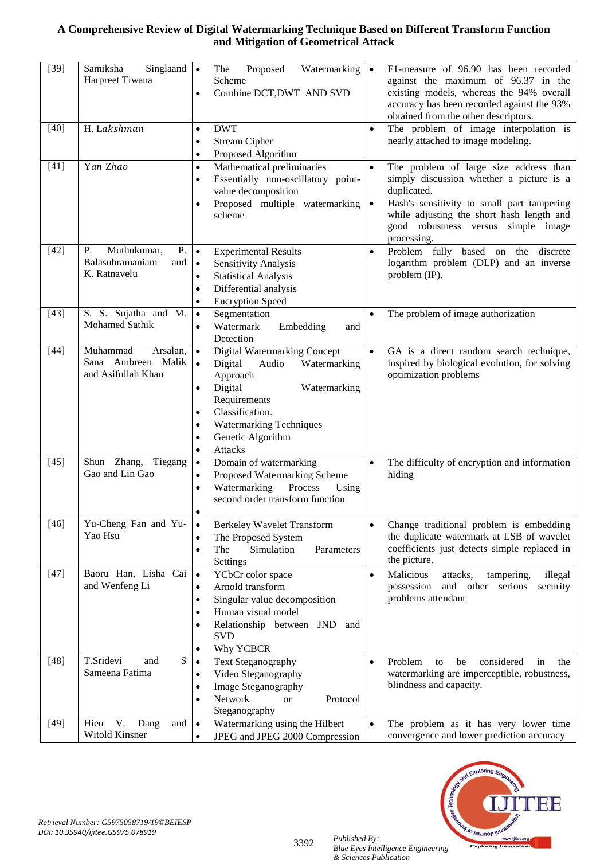| $[39]$ | Samiksha<br>Singlaand $\vert \bullet \vert$<br>Harpreet Tiwana    | Proposed<br>Watermarking<br>The<br>Scheme<br>Combine DCT, DWT AND SVD<br>$\bullet$                                                                                                                                                                                                                      | $\bullet$              | F1-measure of 96.90 has been recorded<br>against the maximum of 96.37 in the<br>existing models, whereas the 94% overall<br>accuracy has been recorded against the 93%<br>obtained from the other descriptors.                                     |
|--------|-------------------------------------------------------------------|---------------------------------------------------------------------------------------------------------------------------------------------------------------------------------------------------------------------------------------------------------------------------------------------------------|------------------------|----------------------------------------------------------------------------------------------------------------------------------------------------------------------------------------------------------------------------------------------------|
| $[40]$ | H. Lakshman                                                       | <b>DWT</b><br>$\bullet$<br><b>Stream Cipher</b><br>$\bullet$<br>Proposed Algorithm<br>$\bullet$                                                                                                                                                                                                         | $\bullet$              | The problem of image interpolation is<br>nearly attached to image modeling.                                                                                                                                                                        |
| $[41]$ | Yan Zhao                                                          | Mathematical preliminaries<br>$\bullet$<br>Essentially non-oscillatory point-<br>$\bullet$<br>value decomposition<br>Proposed multiple watermarking<br>$\bullet$<br>scheme                                                                                                                              | $\bullet$<br>$\bullet$ | The problem of large size address than<br>simply discussion whether a picture is a<br>duplicated.<br>Hash's sensitivity to small part tampering<br>while adjusting the short hash length and<br>good robustness versus simple image<br>processing. |
| $[42]$ | Muthukumar,<br>P.<br>Ρ.<br>Balasubramaniam<br>and<br>K. Ratnavelu | $\bullet$<br><b>Experimental Results</b><br>Sensitivity Analysis<br>$\bullet$<br><b>Statistical Analysis</b><br>$\bullet$<br>Differential analysis<br>$\bullet$<br><b>Encryption Speed</b><br>$\bullet$                                                                                                 | $\bullet$              | Problem fully based on the discrete<br>logarithm problem (DLP) and an inverse<br>problem (IP).                                                                                                                                                     |
| $[43]$ | S. S. Sujatha and M.<br>Mohamed Sathik                            | Segmentation<br>$\bullet$<br>Watermark<br>Embedding<br>and<br>$\bullet$<br>Detection                                                                                                                                                                                                                    | $\bullet$              | The problem of image authorization                                                                                                                                                                                                                 |
| $[44]$ | Muhammad<br>Arsalan,<br>Sana Ambreen Malik<br>and Asifullah Khan  | Digital Watermarking Concept<br>$\bullet$<br>Digital<br>Audio<br>Watermarking<br>$\bullet$<br>Approach<br>Digital<br>Watermarking<br>$\bullet$<br>Requirements<br>Classification.<br>$\bullet$<br><b>Watermarking Techniques</b><br>$\bullet$<br>Genetic Algorithm<br>$\bullet$<br>Attacks<br>$\bullet$ | $\bullet$              | GA is a direct random search technique,<br>inspired by biological evolution, for solving<br>optimization problems                                                                                                                                  |
| $[45]$ | Shun Zhang, Tiegang<br>Gao and Lin Gao                            | Domain of watermarking<br>$\bullet$<br>Proposed Watermarking Scheme<br>$\bullet$<br>Process<br>Watermarking<br>Using<br>$\bullet$<br>second order transform function<br>$\bullet$                                                                                                                       | $\bullet$              | The difficulty of encryption and information<br>hiding                                                                                                                                                                                             |
| $[46]$ | Yu-Cheng Fan and Yu-<br>Yao Hsu                                   | <b>Berkeley Wavelet Transform</b><br>$\bullet$<br>The Proposed System<br>$\bullet$<br>Simulation<br>The<br>Parameters<br>$\bullet$<br>Settings                                                                                                                                                          | $\bullet$              | Change traditional problem is embedding<br>the duplicate watermark at LSB of wavelet<br>coefficients just detects simple replaced in<br>the picture.                                                                                               |
| $[47]$ | Baoru Han, Lisha Cai<br>and Wenfeng Li                            | YCbCr color space<br>$\bullet$<br>Arnold transform<br>$\bullet$<br>Singular value decomposition<br>$\bullet$<br>Human visual model<br>$\bullet$<br>Relationship between JND<br>and<br>٠<br><b>SVD</b><br>Why YCBCR<br>$\bullet$                                                                         | $\bullet$              | Malicious<br>attacks,<br>illegal<br>tampering,<br>possession<br>and other<br>serious<br>security<br>problems attendant                                                                                                                             |
| $[48]$ | T.Sridevi<br>${\bf S}$<br>and<br>Sameena Fatima                   | <b>Text Steganography</b><br>$\bullet$<br>Video Steganography<br>$\bullet$<br>Image Steganography<br>$\bullet$<br>Network<br>Protocol<br><b>or</b><br>$\bullet$<br>Steganography                                                                                                                        | $\bullet$              | considered<br>Problem<br>be<br>in<br>to<br>the<br>watermarking are imperceptible, robustness,<br>blindness and capacity.                                                                                                                           |
| $[49]$ | V.<br>Dang<br>Hieu<br>and<br>Witold Kinsner                       | Watermarking using the Hilbert<br>$\bullet$<br>JPEG and JPEG 2000 Compression<br>$\bullet$                                                                                                                                                                                                              | $\bullet$              | The problem as it has very lower time<br>convergence and lower prediction accuracy                                                                                                                                                                 |



3392 *Published By: Blue Eyes Intelligence Engineering & Sciences Publication*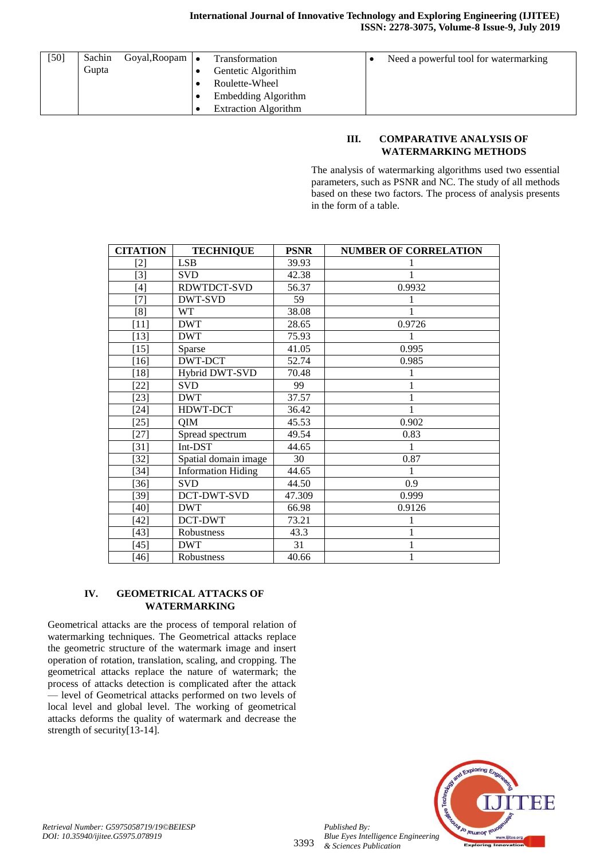| $[50]$ | Sachin<br>Gupta | Goyal, Roopam | <b>Transformation</b><br>Gentetic Algorithim<br>Roulette-Wheel<br>Embedding Algorithm<br><b>Extraction Algorithm</b> | Need a powerful tool for watermarking |
|--------|-----------------|---------------|----------------------------------------------------------------------------------------------------------------------|---------------------------------------|
|        |                 |               |                                                                                                                      |                                       |

#### **III. COMPARATIVE ANALYSIS OF WATERMARKING METHODS**

The analysis of watermarking algorithms used two essential parameters, such as PSNR and NC. The study of all methods based on these two factors. The process of analysis presents in the form of a table.

| <b>CITATION</b> | <b>TECHNIQUE</b>          | <b>PSNR</b> | <b>NUMBER OF CORRELATION</b> |
|-----------------|---------------------------|-------------|------------------------------|
| $[2]$           | <b>LSB</b>                | 39.93       |                              |
| $[3]$           | <b>SVD</b>                | 42.38       |                              |
| $[4]$           | RDWTDCT-SVD               | 56.37       | 0.9932                       |
| $[7]$           | DWT-SVD                   | 59          |                              |
| [8]             | <b>WT</b>                 | 38.08       |                              |
| $[11]$          | <b>DWT</b>                | 28.65       | 0.9726                       |
| $[13]$          | <b>DWT</b>                | 75.93       |                              |
| $[15]$          | Sparse                    | 41.05       | 0.995                        |
| $[16]$          | DWT-DCT                   | 52.74       | 0.985                        |
| $[18]$          | Hybrid DWT-SVD            | 70.48       |                              |
| $[22]$          | <b>SVD</b>                | 99          |                              |
| $[23]$          | <b>DWT</b>                | 37.57       |                              |
| $[24]$          | HDWT-DCT                  | 36.42       |                              |
| $[25]$          | QIM                       | 45.53       | 0.902                        |
| $[27]$          | Spread spectrum           | 49.54       | 0.83                         |
| $[31]$          | Int-DST                   | 44.65       |                              |
| $[32]$          | Spatial domain image      | 30          | 0.87                         |
| $[34]$          | <b>Information Hiding</b> | 44.65       |                              |
| $[36]$          | <b>SVD</b>                | 44.50       | 0.9                          |
| $[39]$          | DCT-DWT-SVD               | 47.309      | 0.999                        |
| $[40]$          | <b>DWT</b>                | 66.98       | 0.9126                       |
| [42]            | DCT-DWT                   | 73.21       |                              |
| $[43]$          | Robustness                | 43.3        |                              |
| $[45]$          | <b>DWT</b>                | 31          |                              |
| $[46]$          | Robustness                | 40.66       |                              |

#### **IV. GEOMETRICAL ATTACKS OF WATERMARKING**

Geometrical attacks are the process of temporal relation of watermarking techniques. The Geometrical attacks replace the geometric structure of the watermark image and insert operation of rotation, translation, scaling, and cropping. The geometrical attacks replace the nature of watermark; the process of attacks detection is complicated after the attack — level of Geometrical attacks performed on two levels of local level and global level. The working of geometrical attacks deforms the quality of watermark and decrease the strength of security[13-14].



*Published By:*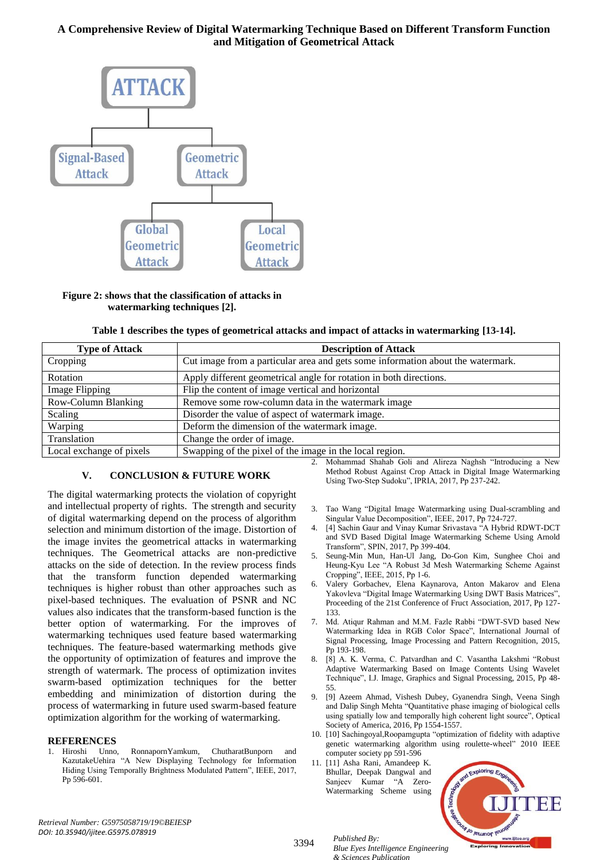

#### **Figure 2: shows that the classification of attacks in watermarking techniques [2].**

|  |  | Table 1 describes the types of geometrical attacks and impact of attacks in watermarking [13-14]. |  |
|--|--|---------------------------------------------------------------------------------------------------|--|
|--|--|---------------------------------------------------------------------------------------------------|--|

| <b>Type of Attack</b>      | <b>Description of Attack</b>                                                    |  |  |  |  |
|----------------------------|---------------------------------------------------------------------------------|--|--|--|--|
| Cropping                   | Cut image from a particular area and gets some information about the watermark. |  |  |  |  |
| Rotation                   | Apply different geometrical angle for rotation in both directions.              |  |  |  |  |
| Image Flipping             | Flip the content of image vertical and horizontal                               |  |  |  |  |
| <b>Row-Column Blanking</b> | Remove some row-column data in the watermark image                              |  |  |  |  |
| Scaling                    | Disorder the value of aspect of watermark image.                                |  |  |  |  |
| Warping                    | Deform the dimension of the watermark image.                                    |  |  |  |  |
| Translation                | Change the order of image.                                                      |  |  |  |  |
| Local exchange of pixels   | Swapping of the pixel of the image in the local region.                         |  |  |  |  |

#### **V. CONCLUSION & FUTURE WORK**

The digital watermarking protects the violation of copyright and intellectual property of rights. The strength and security of digital watermarking depend on the process of algorithm selection and minimum distortion of the image. Distortion of the image invites the geometrical attacks in watermarking techniques. The Geometrical attacks are non-predictive attacks on the side of detection. In the review process finds that the transform function depended watermarking techniques is higher robust than other approaches such as pixel-based techniques. The evaluation of PSNR and NC values also indicates that the transform-based function is the better option of watermarking. For the improves of watermarking techniques used feature based watermarking techniques. The feature-based watermarking methods give the opportunity of optimization of features and improve the strength of watermark. The process of optimization invites swarm-based optimization techniques for the better embedding and minimization of distortion during the process of watermarking in future used swarm-based feature optimization algorithm for the working of watermarking.

# **REFERENCES**<br>1. Hiroshi Unno,

1. Hiroshi Unno, RonnapornYamkum, ChutharatBunporn and KazutakeUehira "A New Displaying Technology for Information Hiding Using Temporally Brightness Modulated Pattern", IEEE, 2017, Pp 596-601.

2. Mohammad Shahab Goli and Alireza Naghsh "Introducing a New Method Robust Against Crop Attack in Digital Image Watermarking Using Two-Step Sudoku", IPRIA, 2017, Pp 237-242.

- 3. Tao Wang "Digital Image Watermarking using Dual-scrambling and Singular Value Decomposition", IEEE, 2017, Pp 724-727.
- 4. [4] Sachin Gaur and Vinay Kumar Srivastava "A Hybrid RDWT-DCT and SVD Based Digital Image Watermarking Scheme Using Arnold Transform", SPIN, 2017, Pp 399-404.
- 5. Seung-Min Mun, Han-Ul Jang, Do-Gon Kim, Sunghee Choi and Heung-Kyu Lee "A Robust 3d Mesh Watermarking Scheme Against Cropping", IEEE, 2015, Pp 1-6.
- 6. Valery Gorbachev, Elena Kaynarova, Anton Makarov and Elena Yakovleva "Digital Image Watermarking Using DWT Basis Matrices", Proceeding of the 21st Conference of Fruct Association, 2017, Pp 127- 133.
- 7. Md. Atiqur Rahman and M.M. Fazle Rabbi "DWT-SVD based New Watermarking Idea in RGB Color Space", International Journal of Signal Processing, Image Processing and Pattern Recognition, 2015, Pp 193-198.
- 8. [8] A. K. Verma, C. Patvardhan and C. Vasantha Lakshmi "Robust Adaptive Watermarking Based on Image Contents Using Wavelet Technique", I.J. Image, Graphics and Signal Processing, 2015, Pp 48- 55.
- 9. [9] Azeem Ahmad, Vishesh Dubey, Gyanendra Singh, Veena Singh and Dalip Singh Mehta "Quantitative phase imaging of biological cells using spatially low and temporally high coherent light source", Optical Society of America, 2016, Pp 1554-1557.
- 10. [10] Sachingoyal,Roopamgupta "optimization of fidelity with adaptive genetic watermarking algorithm using roulette-wheel" 2010 IEEE computer society pp 591-596
- 11. [11] Asha Rani, Amandeep K. Bhullar, Deepak Dangwal and Sanjeev Kumar "A Zero-Watermarking Scheme using



<sup>3394</sup> *Published By: Blue Eyes Intelligence Engineering & Sciences Publication*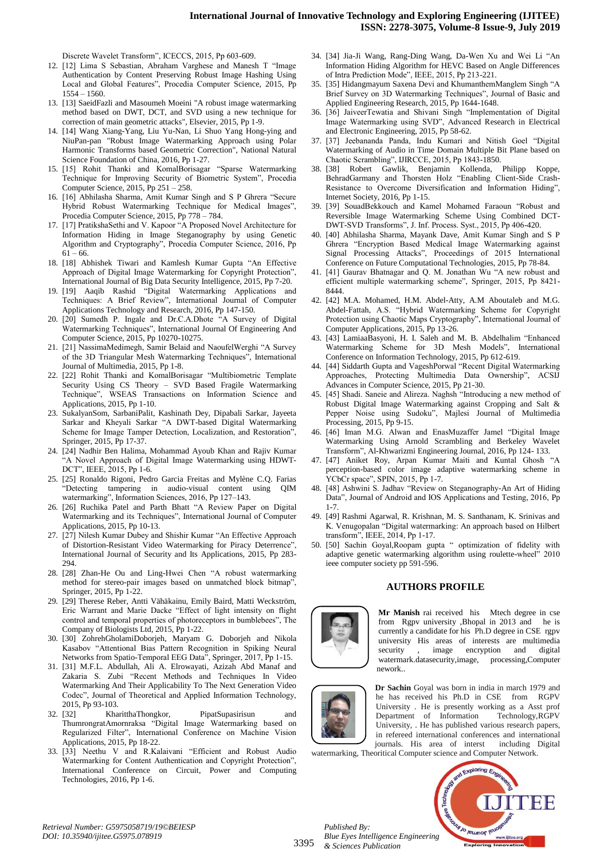Discrete Wavelet Transform", ICECCS, 2015, Pp 603-609.

- 12. [12] Lima S Sebastian, Abraham Varghese and Manesh T "Image Authentication by Content Preserving Robust Image Hashing Using Local and Global Features", Procedia Computer Science, 2015, Pp 1554 – 1560.
- 13. [13] SaeidFazli and Masoumeh Moeini "A robust image watermarking method based on DWT, DCT, and SVD using a new technique for correction of main geometric attacks", Elsevier, 2015, Pp 1-9.
- 14. [14] Wang Xiang-Yang, Liu Yu-Nan, Li Shuo Yang Hong-ying and NiuPan-pan "Robust Image Watermarking Approach using Polar Harmonic Transforms based Geometric Correction", National Natural Science Foundation of China, 2016, Pp 1-27.
- 15. [15] Rohit Thanki and KomalBorisagar "Sparse Watermarking Technique for Improving Security of Biometric System", Procedia Computer Science, 2015, Pp 251 – 258.
- 16. [16] Abhilasha Sharma, Amit Kumar Singh and S P Ghrera "Secure Hybrid Robust Watermarking Technique for Medical Images", Procedia Computer Science, 2015, Pp 778 – 784.
- 17. [17] PratikshaSethi and V. Kapoor "A Proposed Novel Architecture for Information Hiding in Image Steganography by using Genetic Algorithm and Cryptography", Procedia Computer Science, 2016, Pp  $61 - 66.$
- 18. [18] Abhishek Tiwari and Kamlesh Kumar Gupta "An Effective Approach of Digital Image Watermarking for Copyright Protection", International Journal of Big Data Security Intelligence, 2015, Pp 7-20.
- 19. [19] Aaqib Rashid "Digital Watermarking Applications and Techniques: A Brief Review", International Journal of Computer Applications Technology and Research, 2016, Pp 147-150.
- 20. [20] Sumedh P. Ingale and Dr.C.A.Dhote "A Survey of Digital Watermarking Techniques", International Journal Of Engineering And Computer Science, 2015, Pp 10270-10275.
- 21. [21] NassimaMedimegh, Samir Belaid and NaoufelWerghi "A Survey of the 3D Triangular Mesh Watermarking Techniques", International Journal of Multimedia, 2015, Pp 1-8.
- 22. [22] Rohit Thanki and KomalBorisagar "Multibiometric Template Security Using CS Theory - SVD Based Fragile Watermarking Technique", WSEAS Transactions on Information Science and Applications, 2015, Pp 1-10.
- 23. SukalyanSom, SarbaniPalit, Kashinath Dey, Dipabali Sarkar, Jayeeta Sarkar and Kheyali Sarkar "A DWT-based Digital Watermarking Scheme for Image Tamper Detection, Localization, and Restoration", Springer, 2015, Pp 17-37.
- 24. [24] Nadhir Ben Halima, Mohammad Ayoub Khan and Rajiv Kumar "A Novel Approach of Digital Image Watermarking using HDWT-DCT", IEEE, 2015, Pp 1-6.
- 25. [25] Ronaldo Rigoni, Pedro Garcia Freitas and Mylène C.Q. Farias "Detecting tampering in audio-visual content using QIM watermarking", Information Sciences, 2016, Pp 127–143.
- 26. [26] Ruchika Patel and Parth Bhatt "A Review Paper on Digital Watermarking and its Techniques", International Journal of Computer Applications, 2015, Pp 10-13.
- 27. [27] Nilesh Kumar Dubey and Shishir Kumar "An Effective Approach of Distortion-Resistant Video Watermarking for Piracy Deterrence", International Journal of Security and Its Applications, 2015, Pp 283- 294.
- 28. [28] Zhan-He Ou and Ling-Hwei Chen "A robust watermarking method for stereo-pair images based on unmatched block bitmap", Springer, 2015, Pp 1-22.
- 29. [29] Therese Reber, Antti Vähäkainu, Emily Baird, Matti Weckström, Eric Warrant and Marie Dacke "Effect of light intensity on flight control and temporal properties of photoreceptors in bumblebees", The Company of Biologists Ltd, 2015, Pp 1-22.
- 30. [30] ZohrehGholamiDoborjeh, Maryam G. Doborjeh and Nikola Kasabov "Attentional Bias Pattern Recognition in Spiking Neural Networks from Spatio-Temporal EEG Data", Springer, 2017, Pp 1-15.
- 31. [31] M.F.L. Abdullah, Ali A. Elrowayati, Azizah Abd Manaf and Zakaria S. Zubi "Recent Methods and Techniques In Video Watermarking And Their Applicability To The Next Generation Video Codec", Journal of Theoretical and Applied Information Technology, 2015, Pp 93-103.
- 32. [32] KharitthaThongkor, PipatSupasirisun and ThumrongratAmornraksa "Digital Image Watermarking based on Regularized Filter", International Conference on Machine Vision Applications, 2015, Pp 18-22.
- 33. [33] Neethu V and R.Kalaivani "Efficient and Robust Audio Watermarking for Content Authentication and Copyright Protection", International Conference on Circuit, Power and Computing Technologies, 2016, Pp 1-6.
- 34. [34] Jia-Ji Wang, Rang-Ding Wang, Da-Wen Xu and Wei Li "An Information Hiding Algorithm for HEVC Based on Angle Differences of Intra Prediction Mode", IEEE, 2015, Pp 213-221.
- 35. [35] Hidangmayum Saxena Devi and KhumanthemManglem Singh "A Brief Survey on 3D Watermarking Techniques", Journal of Basic and Applied Engineering Research, 2015, Pp 1644-1648.
- 36. [36] JaiveerTewatia and Shivani Singh "Implementation of Digital Image Watermarking using SVD", Advanced Research in Electrical and Electronic Engineering, 2015, Pp 58-62.
- 37. [37] Jeebananda Panda, Indu Kumari and Nitish Goel "Digital Watermarking of Audio in Time Domain Multiple Bit Plane based on Chaotic Scrambling", IJIRCCE, 2015, Pp 1843-1850.
- 38. [38] Robert Gawlik, Benjamin Kollenda, BehradGarmany and Thorsten Holz "Enabling Client-Side Crash-Resistance to Overcome Diversification and Information Hiding", Internet Society, 2016, Pp 1-15.
- 39. [39] SouadBekkouch and Kamel Mohamed Faraoun "Robust and Reversible Image Watermarking Scheme Using Combined DCT-DWT-SVD Transforms", J. Inf. Process. Syst., 2015, Pp 406-420.
- 40. [40] Abhilasha Sharma, Mayank Dave, Amit Kumar Singh and S P Ghrera "Encryption Based Medical Image Watermarking against Signal Processing Attacks", Proceedings of 2015 International Conference on Future Computational Technologies, 2015, Pp 78-84.
- 41. [41] Gaurav Bhatnagar and Q. M. Jonathan Wu "A new robust and efficient multiple watermarking scheme", Springer, 2015, Pp 8421- 8444.
- 42. [42] M.A. Mohamed, H.M. Abdel-Atty, A.M Aboutaleb and M.G. Abdel-Fattah, A.S. "Hybrid Watermarking Scheme for Copyright Protection using Chaotic Maps Cryptography", International Journal of Computer Applications, 2015, Pp 13-26.
- 43. [43] LamiaaBasyoni, H. I. Saleh and M. B. Abdelhalim "Enhanced Watermarking Scheme for 3D Mesh Models", International Conference on Information Technology, 2015, Pp 612-619.
- 44. [44] Siddarth Gupta and VageshPorwal "Recent Digital Watermarking Approaches, Protecting Multimedia Data Ownership", ACSIJ Advances in Computer Science, 2015, Pp 21-30.
- 45. [45] Shadi. Saneie and Alireza. Naghsh "Introducing a new method of Robust Digital Image Watermarking against Cropping and Salt & Pepper Noise using Sudoku", Majlesi Journal of Multimedia Processing, 2015, Pp 9-15.
- 46. [46] Iman M.G. Alwan and EnasMuzaffer Jamel "Digital Image Watermarking Using Arnold Scrambling and Berkeley Wavelet Transform", Al-Khwarizmi Engineering Journal, 2016, Pp 124- 133.
- 47. [47] Aniket Roy, Arpan Kumar Maiti and Kuntal Ghosh "A perception-based color image adaptive watermarking scheme in YCbCr space", SPIN, 2015, Pp 1-7.
- 48. [48] Ashwini S. Jadhav "Review on Steganography-An Art of Hiding Data", Journal of Android and IOS Applications and Testing, 2016, Pp 1-7.
- 49. [49] Rashmi Agarwal, R. Krishnan, M. S. Santhanam, K. Srinivas and K. Venugopalan "Digital watermarking: An approach based on Hilbert transform", IEEE, 2014, Pp 1-17.
- 50. [50] Sachin Goyal,Roopam gupta " optimization of fidelity with adaptive genetic watermarking algorithm using roulette-wheel" 2010 ieee computer society pp 591-596.

#### **AUTHORS PROFILE**



**Mr Manish** rai received his Mtech degree in cse from Rgpv university ,Bhopal in 2013 and he is currently a candidate for his Ph.D degree in CSE rgpv university His areas of interests are multimedia security , image encryption and digital watermark.datasecurity,image, processing,Computer nework..



*Published By:*

*& Sciences Publication* 

**Dr Sachin** Goyal was born in india in march 1979 and he has received his Ph.D in CSE from RGPV University . He is presently working as a Asst prof Department of Information Technology,RGPV University, . He has published various research papers, in refereed international conferences and international journals. His area of interst including Digital

watermarking, Theoritical Computer science and Computer Network.



3395